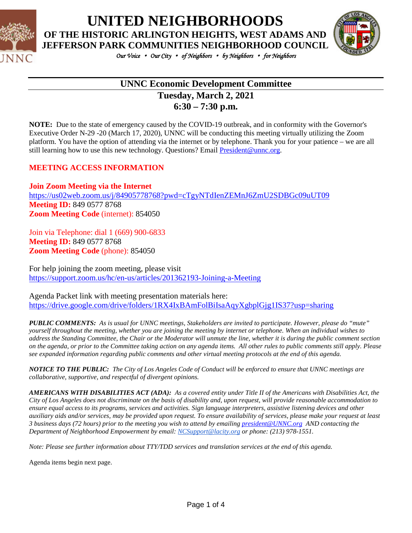

**UNITED NEIGHBORHOODS OF THE HISTORIC ARLINGTON HEIGHTS, WEST ADAMS AND** 



*Our Voice* • *Our City* • *of Neighbors* • *by Neighbors* • *for Neighbors* 

# **UNNC Economic Development Committee Tuesday, March 2, 2021**

**6:30 – 7:30 p.m.**

**NOTE:** Due to the state of emergency caused by the COVID-19 outbreak, and in conformity with the Governor's Executive Order N-29 -20 (March 17, 2020), UNNC will be conducting this meeting virtually utilizing the Zoom platform. You have the option of attending via the internet or by telephone. Thank you for your patience – we are all still learning how to use this new technology. Questions? Email [President@unnc.org.](mailto:President@unnc.org)

### **MEETING ACCESS INFORMATION**

**Join Zoom Meeting via the Internet** <https://us02web.zoom.us/j/84905778768?pwd=cTgyNTdIenZEMnJ6ZmU2SDBGc09uUT09> **Meeting ID:** 849 0577 8768 **Zoom Meeting Code** (internet): 854050

Join via Telephone: dial 1 (669) 900-6833 **Meeting ID:** 849 0577 8768 **Zoom Meeting Code** (phone): 854050

For help joining the zoom meeting, please visit <https://support.zoom.us/hc/en-us/articles/201362193-Joining-a-Meeting>

Agenda Packet link with meeting presentation materials here: <https://drive.google.com/drive/folders/1RX4IxBAmFolBiIsaAqyXgbplGjg1IS37?usp=sharing>

*PUBLIC COMMENTS: As is usual for UNNC meetings, Stakeholders are invited to participate. However, please do "mute" yourself throughout the meeting, whether you are joining the meeting by internet or telephone. When an individual wishes to address the Standing Committee, the Chair or the Moderator will unmute the line, whether it is during the public comment section on the agenda, or prior to the Committee taking action on any agenda items. All other rules to public comments still apply. Please see expanded information regarding public comments and other virtual meeting protocols at the end of this agenda.*

*NOTICE TO THE PUBLIC: The City of Los Angeles Code of Conduct will be enforced to ensure that UNNC meetings are collaborative, supportive, and respectful of divergent opinions.* 

*AMERICANS WITH DISABILITIES ACT (ADA): As a covered entity under Title II of the Americans with Disabilities Act, the City of Los Angeles does not discriminate on the basis of disability and, upon request, will provide reasonable accommodation to ensure equal access to its programs, services and activities. Sign language interpreters, assistive listening devices and other auxiliary aids and/or services, may be provided upon request. To ensure availability of services, please make your request at least 3 business days (72 hours) prior to the meeting you wish to attend by emailin[g president@UNNC.org](mailto:president@UNNC.org) AND contacting the Department of Neighborhood Empowerment by email: [NCSupport@lacity.org](mailto:NCSupport@lacity.org) or phone: (213) 978-1551.*

*Note: Please see further information about TTY/TDD services and translation services at the end of this agenda.*

Agenda items begin next page.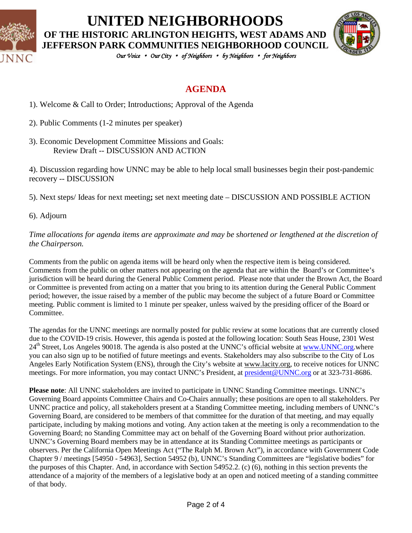

# **UNITED NEIGHBORHOODS OF THE HISTORIC ARLINGTON HEIGHTS, WEST ADAMS AND**



*Our Voice* • *Our City* • *of Neighbors* • *by Neighbors* • *for Neighbors* 

### **AGENDA**

- 1). Welcome & Call to Order; Introductions; Approval of the Agenda
- 2). Public Comments (1-2 minutes per speaker)
- 3). Economic Development Committee Missions and Goals: Review Draft -- DISCUSSION AND ACTION

4). Discussion regarding how UNNC may be able to help local small businesses begin their post-pandemic recovery -- DISCUSSION

5). Next steps/ Ideas for next meeting**;** set next meeting date – DISCUSSION AND POSSIBLE ACTION

6). Adjourn

*Time allocations for agenda items are approximate and may be shortened or lengthened at the discretion of the Chairperson.*

Comments from the public on agenda items will be heard only when the respective item is being considered. Comments from the public on other matters not appearing on the agenda that are within the Board's or Committee's jurisdiction will be heard during the General Public Comment period. Please note that under the Brown Act, the Board or Committee is prevented from acting on a matter that you bring to its attention during the General Public Comment period; however, the issue raised by a member of the public may become the subject of a future Board or Committee meeting. Public comment is limited to 1 minute per speaker, unless waived by the presiding officer of the Board or Committee.

The agendas for the UNNC meetings are normally posted for public review at some locations that are currently closed due to the COVID-19 crisis. However, this agenda is posted at the following location: South Seas House, 2301 West 24<sup>th</sup> Street, Los Angeles 90018. The agenda is also posted at the UNNC's official website at [www.UNNC.org.](http://www.unnc.org/)where you can also sign up to be notified of future meetings and events. Stakeholders may also subscribe to the City of Los Angeles Early Notification System (ENS), through the City's website at www.lacity.org, to receive notices for UNNC meetings. For more information, you may contact UNNC's President, a[t president@UNNC.org](mailto:president@UNNC.org) or at 323-731-8686.

**Please note**: All UNNC stakeholders are invited to participate in UNNC Standing Committee meetings. UNNC's Governing Board appoints Committee Chairs and Co-Chairs annually; these positions are open to all stakeholders. Per UNNC practice and policy, all stakeholders present at a Standing Committee meeting, including members of UNNC's Governing Board, are considered to be members of that committee for the duration of that meeting, and may equally participate, including by making motions and voting. Any action taken at the meeting is only a recommendation to the Governing Board; no Standing Committee may act on behalf of the Governing Board without prior authorization. UNNC's Governing Board members may be in attendance at its Standing Committee meetings as participants or observers. Per the California Open Meetings Act ("The Ralph M. Brown Act"), in accordance with Government Code Chapter 9 / meetings [54950 - 54963], Section 54952 (b), UNNC's Standing Committees are "legislative bodies" for the purposes of this Chapter. And, in accordance with Section 54952.2. (c) (6), nothing in this section prevents the attendance of a majority of the members of a legislative body at an open and noticed meeting of a standing committee of that body.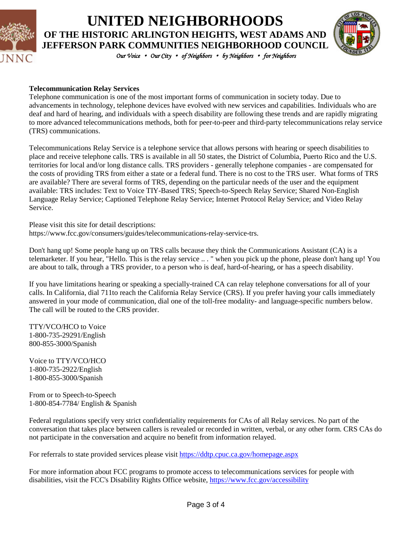

# **UNITED NEIGHBORHOODS OF THE HISTORIC ARLINGTON HEIGHTS, WEST ADAMS AND JEFFERSON PARK COMMUNITIES NEIGHBORHOOD COUNCIL**



*Our Voice* • *Our City* • *of Neighbors* • *by Neighbors* • *for Neighbors* 

#### **Telecommunication Relay Services**

Telephone communication is one of the most important forms of communication in society today. Due to advancements in technology, telephone devices have evolved with new services and capabilities. Individuals who are deaf and hard of hearing, and individuals with a speech disability are following these trends and are rapidly migrating to more advanced telecommunications methods, both for peer-to-peer and third-party telecommunications relay service (TRS) communications.

Telecommunications Relay Service is a telephone service that allows persons with hearing or speech disabilities to place and receive telephone calls. TRS is available in all 50 states, the District of Columbia, Puerto Rico and the U.S. territories for local and/or long distance calls. TRS providers - generally telephone companies - are compensated for the costs of providing TRS from either a state or a federal fund. There is no cost to the TRS user. What forms of TRS are available? There are several forms of TRS, depending on the particular needs of the user and the equipment available: TRS includes: Text to Voice TIY-Based TRS; Speech-to-Speech Relay Service; Shared Non-English Language Relay Service; Captioned Telephone Relay Service; Internet Protocol Relay Service; and Video Relay Service.

Please visit this site for detail descriptions: https://www.fcc.gov/consumers/guides/telecommunications-relay-service-trs.

Don't hang up! Some people hang up on TRS calls because they think the Communications Assistant (CA) is a telemarketer. If you hear, "Hello. This is the relay service .. . " when you pick up the phone, please don't hang up! You are about to talk, through a TRS provider, to a person who is deaf, hard-of-hearing, or has a speech disability.

If you have limitations hearing or speaking a specially-trained CA can relay telephone conversations for all of your calls. In California, dial 711to reach the California Relay Service (CRS). If you prefer having your calls immediately answered in your mode of communication, dial one of the toll-free modality- and language-specific numbers below. The call will be routed to the CRS provider.

TTY/VCO/HCO to Voice 1-800-735-29291/English 800-855-3000/Spanish

Voice to TTY/VCO/HCO 1-800-735-2922/English 1-800-855-3000/Spanish

From or to Speech-to-Speech 1-800-854-7784/ English & Spanish

Federal regulations specify very strict confidentiality requirements for CAs of all Relay services. No part of the conversation that takes place between callers is revealed or recorded in written, verbal, or any other form. CRS CAs do not participate in the conversation and acquire no benefit from information relayed.

For referrals to state provided services please visit<https://ddtp.cpuc.ca.gov/homepage.aspx>

For more information about FCC programs to promote access to telecommunications services for people with disabilities, visit the FCC's Disability Rights Office website[, https://www.fcc.gov/accessibility](https://www.fcc.gov/accessibility)